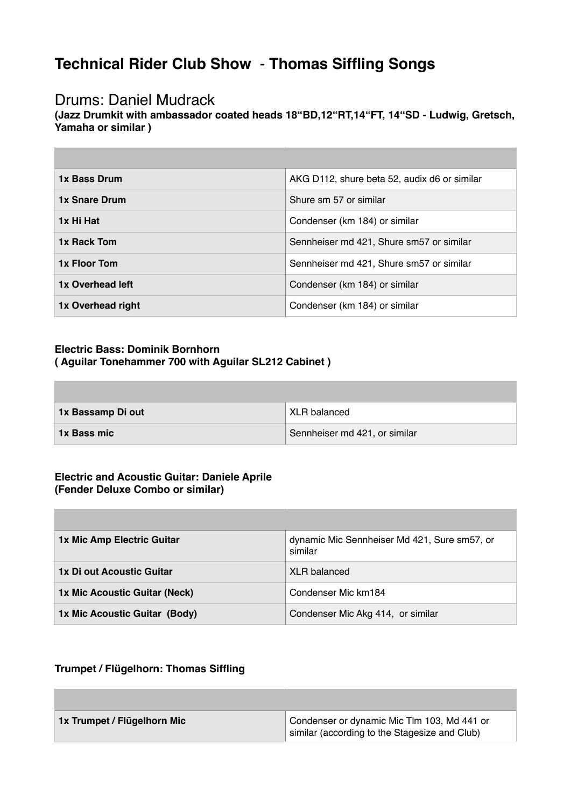# **Technical Rider Club Show** - **Thomas Siffling Songs**

### Drums: Daniel Mudrack

**The Common** 

**(Jazz Drumkit with ambassador coated heads 18"BD,12"RT,14"FT, 14"SD - Ludwig, Gretsch, Yamaha or similar )**

| 1x Bass Drum         | AKG D112, shure beta 52, audix d6 or similar |
|----------------------|----------------------------------------------|
| <b>1x Snare Drum</b> | Shure sm 57 or similar                       |
| 1x Hi Hat            | Condenser (km 184) or similar                |
| 1x Rack Tom          | Sennheiser md 421, Shure sm57 or similar     |
| 1x Floor Tom         | Sennheiser md 421, Shure sm57 or similar     |
| 1x Overhead left     | Condenser (km 184) or similar                |
| 1x Overhead right    | Condenser (km 184) or similar                |

### **Electric Bass: Dominik Bornhorn ( Aguilar Tonehammer 700 with Aguilar SL212 Cabinet )**

| 1x Bassamp Di out  | XLR balanced                  |
|--------------------|-------------------------------|
| <b>1x Bass mic</b> | Sennheiser md 421, or similar |

#### **Electric and Acoustic Guitar: Daniele Aprile (Fender Deluxe Combo or similar)**

| 1x Mic Amp Electric Guitar    | dynamic Mic Sennheiser Md 421, Sure sm57, or<br>similar |
|-------------------------------|---------------------------------------------------------|
| 1x Di out Acoustic Guitar     | <b>XLR</b> balanced                                     |
| 1x Mic Acoustic Guitar (Neck) | Condenser Mic km184                                     |
| 1x Mic Acoustic Guitar (Body) | Condenser Mic Akg 414, or similar                       |

### **Trumpet / Flügelhorn: Thomas Siffling**

| 1x Trumpet / Flügelhorn Mic | Condenser or dynamic Mic Tlm 103, Md 441 or<br>similar (according to the Stagesize and Club) |
|-----------------------------|----------------------------------------------------------------------------------------------|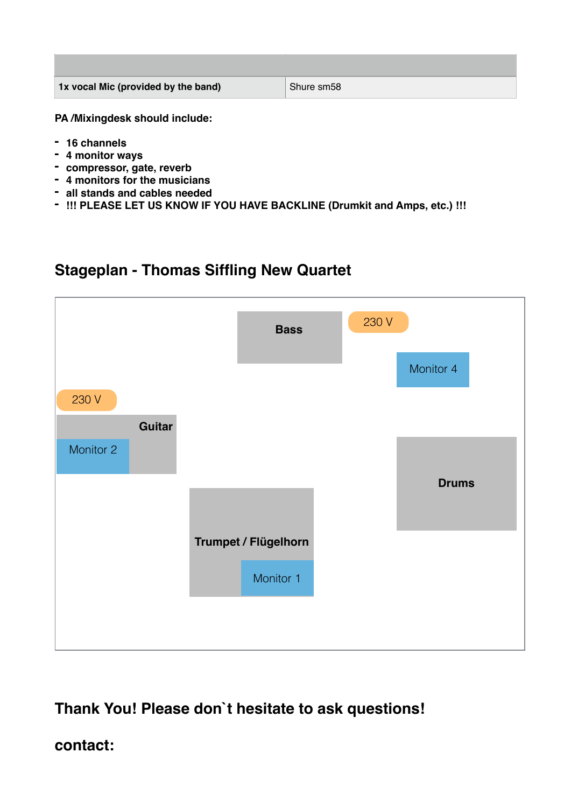| 1x vocal Mic (provided by the band) | Shure sm58 |
|-------------------------------------|------------|

**PA /Mixingdesk should include:**

- **- 16 channels**
- **- 4 monitor ways**
- **- compressor, gate, reverb**
- **- 4 monitors for the musicians**
- **- all stands and cables needed**
- **- !!! PLEASE LET US KNOW IF YOU HAVE BACKLINE (Drumkit and Amps, etc.) !!!**

## **Stageplan - Thomas Siffling New Quartet**



# **Thank You! Please don`t hesitate to ask questions!**

### **contact:**